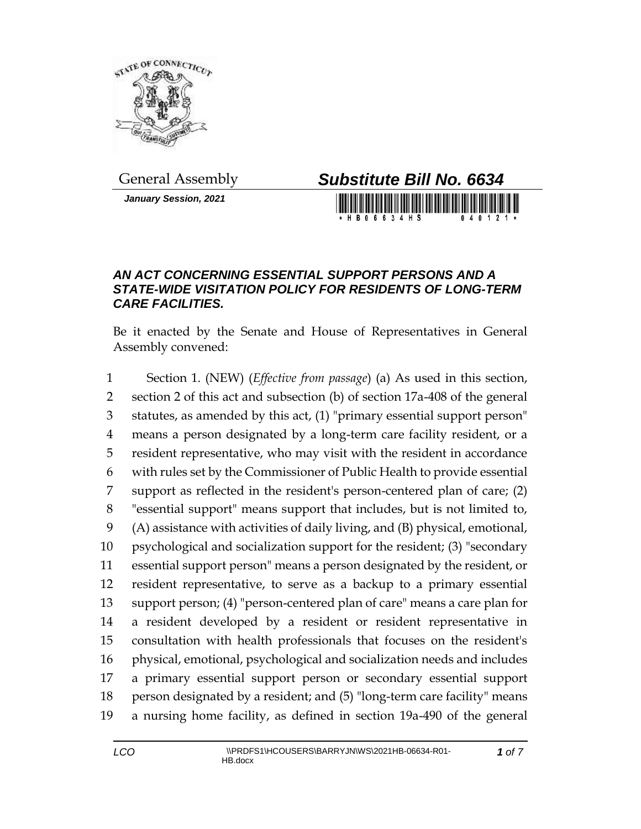

*January Session, 2021*



H R N 6 6 3 4 H S

## *AN ACT CONCERNING ESSENTIAL SUPPORT PERSONS AND A STATE-WIDE VISITATION POLICY FOR RESIDENTS OF LONG-TERM CARE FACILITIES.*

Be it enacted by the Senate and House of Representatives in General Assembly convened:

 Section 1. (NEW) (*Effective from passage*) (a) As used in this section, section 2 of this act and subsection (b) of section 17a-408 of the general statutes, as amended by this act, (1) "primary essential support person" means a person designated by a long-term care facility resident, or a resident representative, who may visit with the resident in accordance with rules set by the Commissioner of Public Health to provide essential support as reflected in the resident's person-centered plan of care; (2) "essential support" means support that includes, but is not limited to, (A) assistance with activities of daily living, and (B) physical, emotional, psychological and socialization support for the resident; (3) "secondary essential support person" means a person designated by the resident, or resident representative, to serve as a backup to a primary essential support person; (4) "person-centered plan of care" means a care plan for a resident developed by a resident or resident representative in consultation with health professionals that focuses on the resident's physical, emotional, psychological and socialization needs and includes a primary essential support person or secondary essential support person designated by a resident; and (5) "long-term care facility" means a nursing home facility, as defined in section 19a-490 of the general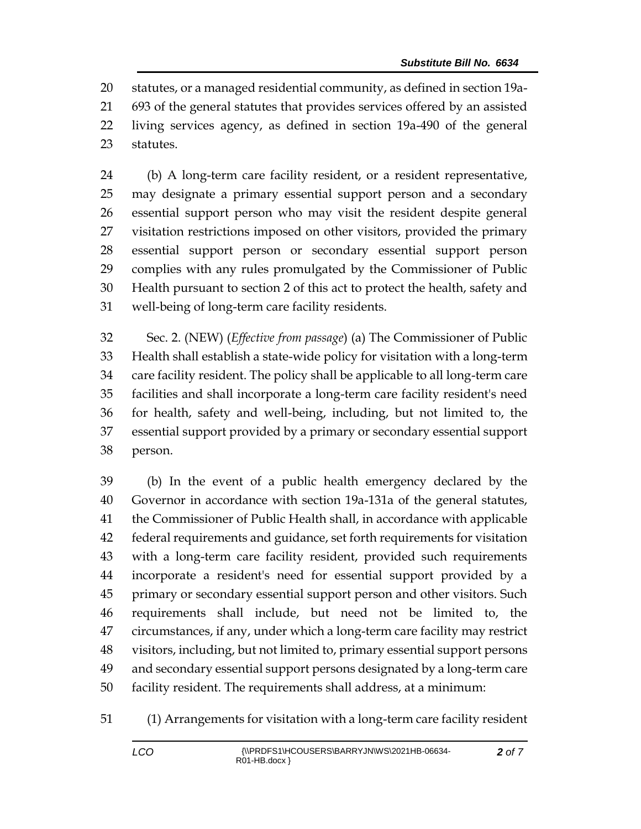statutes, or a managed residential community, as defined in section 19a- 693 of the general statutes that provides services offered by an assisted living services agency, as defined in section 19a-490 of the general statutes.

 (b) A long-term care facility resident, or a resident representative, may designate a primary essential support person and a secondary essential support person who may visit the resident despite general visitation restrictions imposed on other visitors, provided the primary essential support person or secondary essential support person complies with any rules promulgated by the Commissioner of Public Health pursuant to section 2 of this act to protect the health, safety and well-being of long-term care facility residents.

 Sec. 2. (NEW) (*Effective from passage*) (a) The Commissioner of Public Health shall establish a state-wide policy for visitation with a long-term care facility resident. The policy shall be applicable to all long-term care facilities and shall incorporate a long-term care facility resident's need for health, safety and well-being, including, but not limited to, the essential support provided by a primary or secondary essential support person.

 (b) In the event of a public health emergency declared by the Governor in accordance with section 19a-131a of the general statutes, the Commissioner of Public Health shall, in accordance with applicable federal requirements and guidance, set forth requirements for visitation with a long-term care facility resident, provided such requirements incorporate a resident's need for essential support provided by a primary or secondary essential support person and other visitors. Such requirements shall include, but need not be limited to, the circumstances, if any, under which a long-term care facility may restrict visitors, including, but not limited to, primary essential support persons and secondary essential support persons designated by a long-term care facility resident. The requirements shall address, at a minimum:

(1) Arrangements for visitation with a long-term care facility resident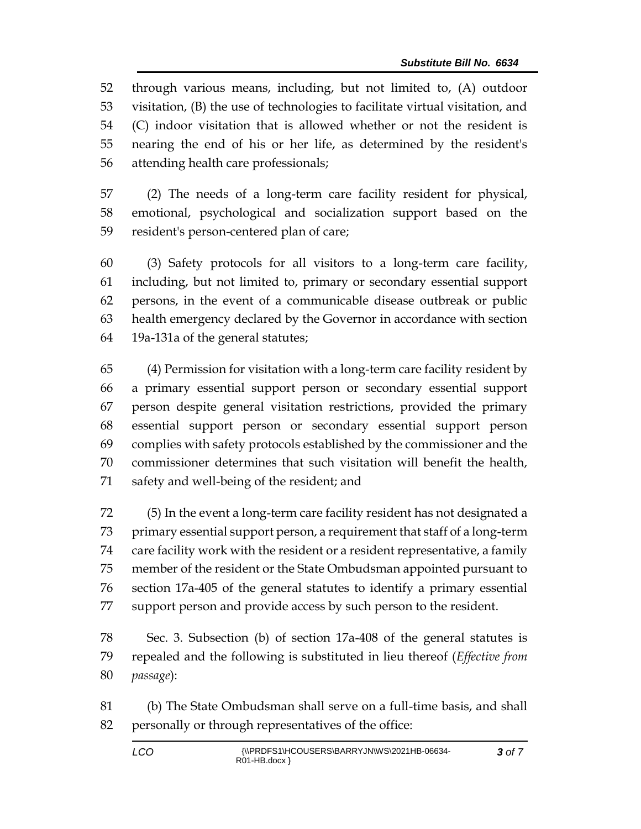through various means, including, but not limited to, (A) outdoor visitation, (B) the use of technologies to facilitate virtual visitation, and (C) indoor visitation that is allowed whether or not the resident is nearing the end of his or her life, as determined by the resident's attending health care professionals;

 (2) The needs of a long-term care facility resident for physical, emotional, psychological and socialization support based on the resident's person-centered plan of care;

 (3) Safety protocols for all visitors to a long-term care facility, including, but not limited to, primary or secondary essential support persons, in the event of a communicable disease outbreak or public health emergency declared by the Governor in accordance with section 19a-131a of the general statutes;

 (4) Permission for visitation with a long-term care facility resident by a primary essential support person or secondary essential support person despite general visitation restrictions, provided the primary essential support person or secondary essential support person complies with safety protocols established by the commissioner and the commissioner determines that such visitation will benefit the health, safety and well-being of the resident; and

 (5) In the event a long-term care facility resident has not designated a primary essential support person, a requirement that staff of a long-term care facility work with the resident or a resident representative, a family member of the resident or the State Ombudsman appointed pursuant to section 17a-405 of the general statutes to identify a primary essential support person and provide access by such person to the resident.

 Sec. 3. Subsection (b) of section 17a-408 of the general statutes is repealed and the following is substituted in lieu thereof (*Effective from passage*):

 (b) The State Ombudsman shall serve on a full-time basis, and shall 82 personally or through representatives of the office: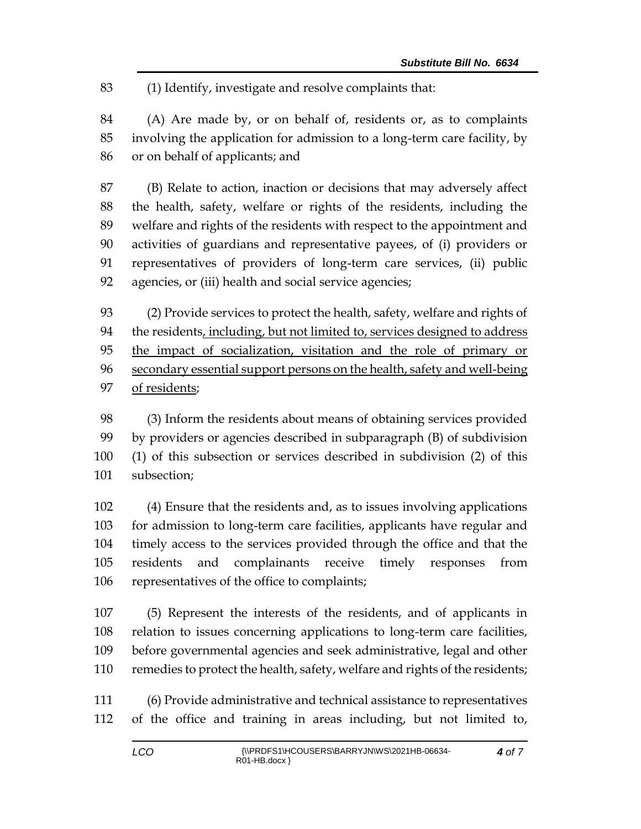(1) Identify, investigate and resolve complaints that:

 (A) Are made by, or on behalf of, residents or, as to complaints involving the application for admission to a long-term care facility, by or on behalf of applicants; and

 (B) Relate to action, inaction or decisions that may adversely affect the health, safety, welfare or rights of the residents, including the welfare and rights of the residents with respect to the appointment and activities of guardians and representative payees, of (i) providers or representatives of providers of long-term care services, (ii) public agencies, or (iii) health and social service agencies;

 (2) Provide services to protect the health, safety, welfare and rights of the residents, including, but not limited to, services designed to address the impact of socialization, visitation and the role of primary or secondary essential support persons on the health, safety and well-being of residents;

 (3) Inform the residents about means of obtaining services provided by providers or agencies described in subparagraph (B) of subdivision (1) of this subsection or services described in subdivision (2) of this subsection;

 (4) Ensure that the residents and, as to issues involving applications for admission to long-term care facilities, applicants have regular and timely access to the services provided through the office and that the residents and complainants receive timely responses from representatives of the office to complaints;

 (5) Represent the interests of the residents, and of applicants in relation to issues concerning applications to long-term care facilities, before governmental agencies and seek administrative, legal and other remedies to protect the health, safety, welfare and rights of the residents;

 (6) Provide administrative and technical assistance to representatives of the office and training in areas including, but not limited to,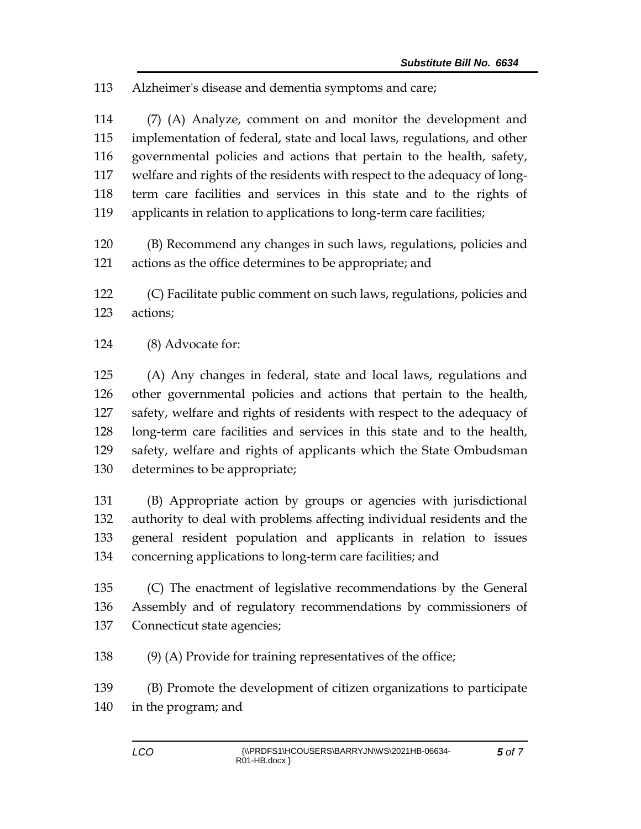Alzheimer's disease and dementia symptoms and care;

 (7) (A) Analyze, comment on and monitor the development and implementation of federal, state and local laws, regulations, and other governmental policies and actions that pertain to the health, safety, welfare and rights of the residents with respect to the adequacy of long- term care facilities and services in this state and to the rights of applicants in relation to applications to long-term care facilities;

 (B) Recommend any changes in such laws, regulations, policies and actions as the office determines to be appropriate; and

 (C) Facilitate public comment on such laws, regulations, policies and actions;

(8) Advocate for:

 (A) Any changes in federal, state and local laws, regulations and other governmental policies and actions that pertain to the health, safety, welfare and rights of residents with respect to the adequacy of long-term care facilities and services in this state and to the health, safety, welfare and rights of applicants which the State Ombudsman determines to be appropriate;

 (B) Appropriate action by groups or agencies with jurisdictional authority to deal with problems affecting individual residents and the general resident population and applicants in relation to issues concerning applications to long-term care facilities; and

 (C) The enactment of legislative recommendations by the General Assembly and of regulatory recommendations by commissioners of Connecticut state agencies;

(9) (A) Provide for training representatives of the office;

(B) Promote the development of citizen organizations to participate

in the program; and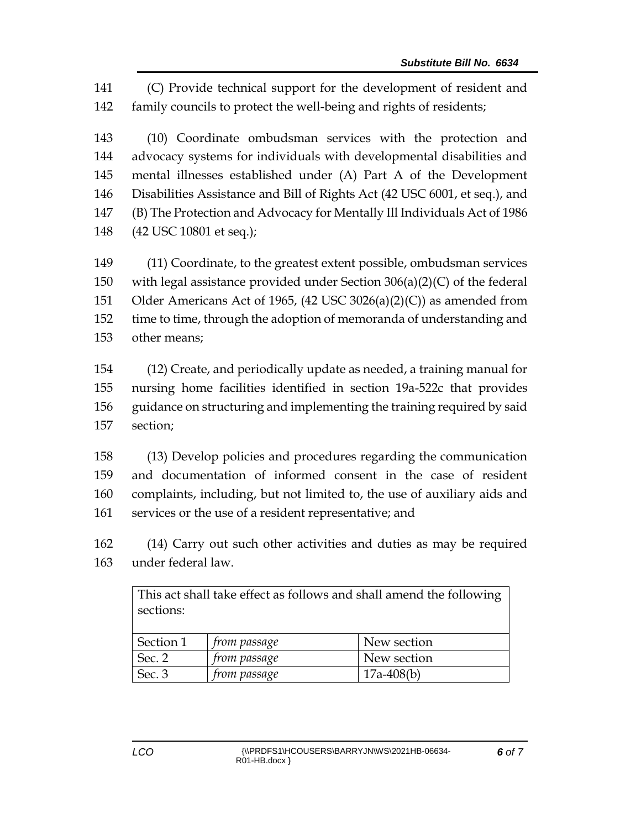(C) Provide technical support for the development of resident and family councils to protect the well-being and rights of residents;

 (10) Coordinate ombudsman services with the protection and advocacy systems for individuals with developmental disabilities and mental illnesses established under (A) Part A of the Development Disabilities Assistance and Bill of Rights Act (42 USC 6001, et seq.), and (B) The Protection and Advocacy for Mentally Ill Individuals Act of 1986 (42 USC 10801 et seq.);

 (11) Coordinate, to the greatest extent possible, ombudsman services with legal assistance provided under Section 306(a)(2)(C) of the federal Older Americans Act of 1965, (42 USC 3026(a)(2)(C)) as amended from time to time, through the adoption of memoranda of understanding and other means;

 (12) Create, and periodically update as needed, a training manual for nursing home facilities identified in section 19a-522c that provides guidance on structuring and implementing the training required by said section;

 (13) Develop policies and procedures regarding the communication and documentation of informed consent in the case of resident complaints, including, but not limited to, the use of auxiliary aids and services or the use of a resident representative; and

 (14) Carry out such other activities and duties as may be required under federal law.

| This act shall take effect as follows and shall amend the following<br>sections: |                     |              |
|----------------------------------------------------------------------------------|---------------------|--------------|
| Section 1                                                                        | <i>from passage</i> | New section  |
| Sec. 2                                                                           | from passage        | New section  |
| Sec. 3                                                                           | from passage        | $17a-408(b)$ |